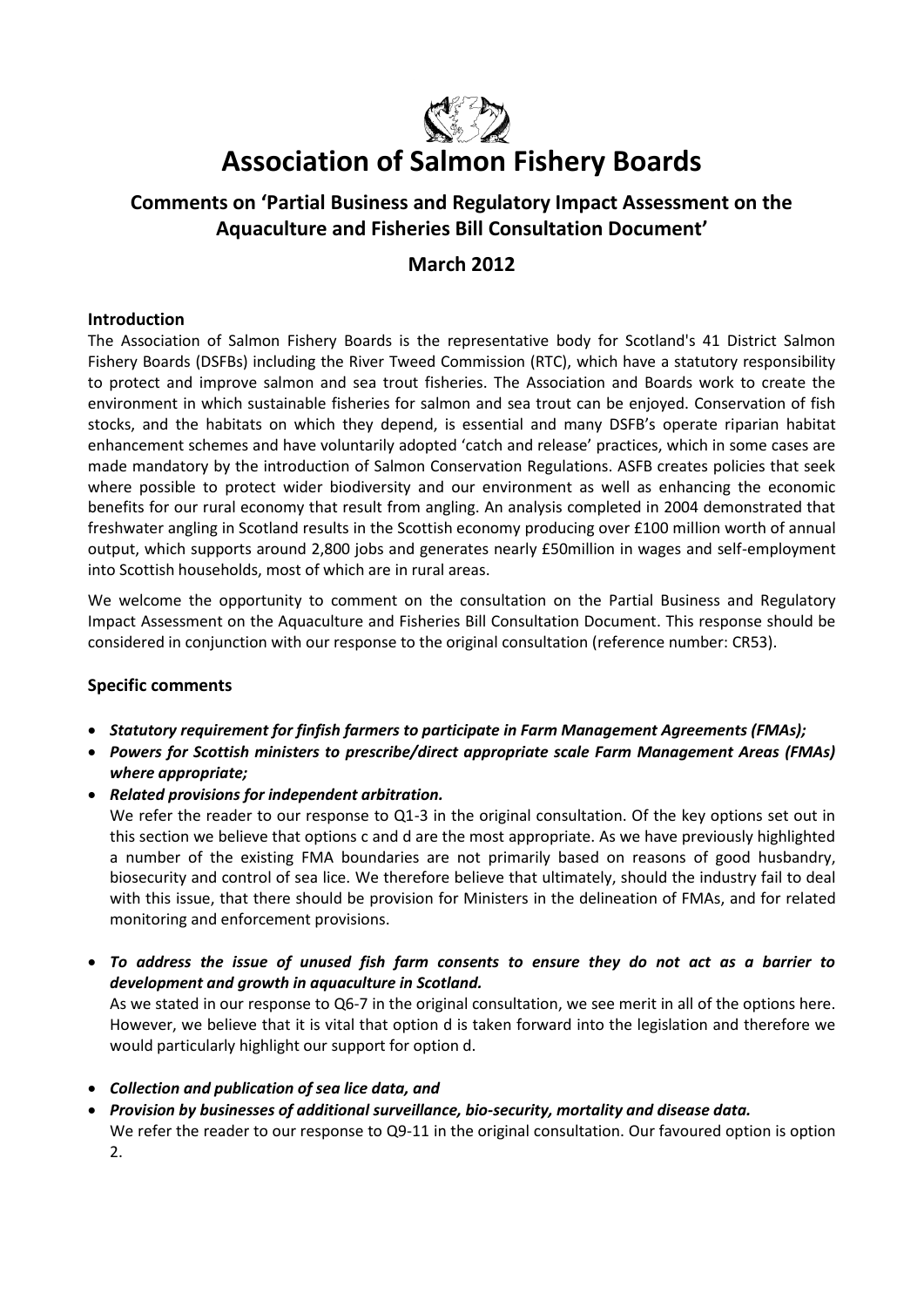

# **Association of Salmon Fishery Boards**

## **Comments on 'Partial Business and Regulatory Impact Assessment on the Aquaculture and Fisheries Bill Consultation Document'**

### **March 2012**

#### **Introduction**

The Association of Salmon Fishery Boards is the representative body for Scotland's 41 District Salmon Fishery Boards (DSFBs) including the River Tweed Commission (RTC), which have a statutory responsibility to protect and improve salmon and sea trout fisheries. The Association and Boards work to create the environment in which sustainable fisheries for salmon and sea trout can be enjoyed. Conservation of fish stocks, and the habitats on which they depend, is essential and many DSFB's operate riparian habitat enhancement schemes and have voluntarily adopted 'catch and release' practices, which in some cases are made mandatory by the introduction of Salmon Conservation Regulations. ASFB creates policies that seek where possible to protect wider biodiversity and our environment as well as enhancing the economic benefits for our rural economy that result from angling. An analysis completed in 2004 demonstrated that freshwater angling in Scotland results in the Scottish economy producing over £100 million worth of annual output, which supports around 2,800 jobs and generates nearly £50million in wages and self-employment into Scottish households, most of which are in rural areas.

We welcome the opportunity to comment on the consultation on the Partial Business and Regulatory Impact Assessment on the Aquaculture and Fisheries Bill Consultation Document. This response should be considered in conjunction with our response to the original consultation (reference number: CR53).

#### **Specific comments**

- *Statutory requirement for finfish farmers to participate in Farm Management Agreements (FMAs);*
- *Powers for Scottish ministers to prescribe/direct appropriate scale Farm Management Areas (FMAs) where appropriate;*
- *Related provisions for independent arbitration.*

We refer the reader to our response to Q1-3 in the original consultation. Of the key options set out in this section we believe that options c and d are the most appropriate. As we have previously highlighted a number of the existing FMA boundaries are not primarily based on reasons of good husbandry, biosecurity and control of sea lice. We therefore believe that ultimately, should the industry fail to deal with this issue, that there should be provision for Ministers in the delineation of FMAs, and for related monitoring and enforcement provisions.

 *To address the issue of unused fish farm consents to ensure they do not act as a barrier to development and growth in aquaculture in Scotland.*

As we stated in our response to Q6-7 in the original consultation, we see merit in all of the options here. However, we believe that it is vital that option d is taken forward into the legislation and therefore we would particularly highlight our support for option d.

- *Collection and publication of sea lice data, and*
- *Provision by businesses of additional surveillance, bio-security, mortality and disease data.* We refer the reader to our response to Q9-11 in the original consultation. Our favoured option is option 2.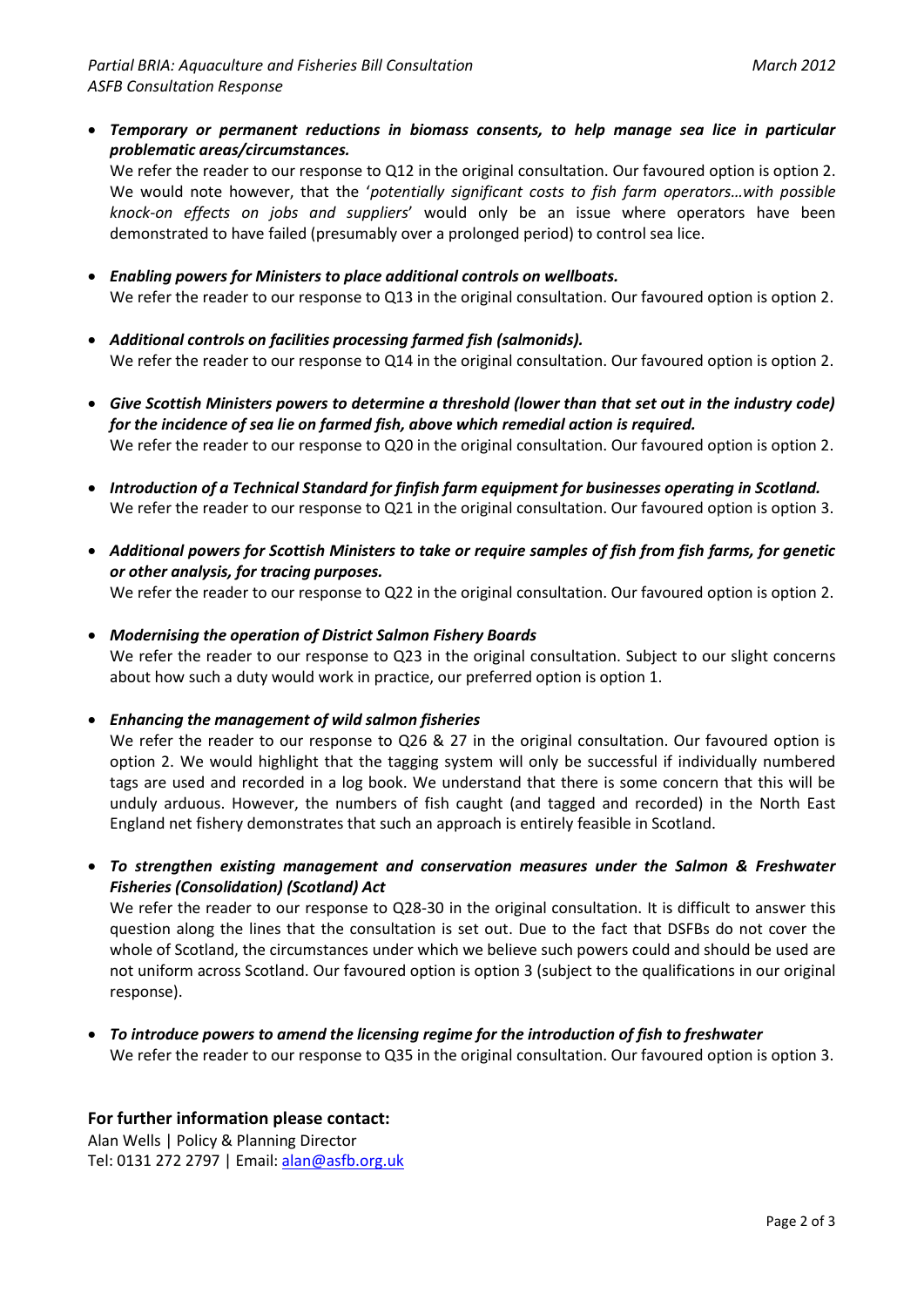*Temporary or permanent reductions in biomass consents, to help manage sea lice in particular problematic areas/circumstances.*

We refer the reader to our response to Q12 in the original consultation. Our favoured option is option 2. We would note however, that the '*potentially significant costs to fish farm operators…with possible knock-on effects on jobs and suppliers*' would only be an issue where operators have been demonstrated to have failed (presumably over a prolonged period) to control sea lice.

- *Enabling powers for Ministers to place additional controls on wellboats.* We refer the reader to our response to Q13 in the original consultation. Our favoured option is option 2.
- *Additional controls on facilities processing farmed fish (salmonids).* We refer the reader to our response to Q14 in the original consultation. Our favoured option is option 2.
- *Give Scottish Ministers powers to determine a threshold (lower than that set out in the industry code) for the incidence of sea lie on farmed fish, above which remedial action is required.* We refer the reader to our response to Q20 in the original consultation. Our favoured option is option 2.
- *Introduction of a Technical Standard for finfish farm equipment for businesses operating in Scotland.* We refer the reader to our response to Q21 in the original consultation. Our favoured option is option 3.
- *Additional powers for Scottish Ministers to take or require samples of fish from fish farms, for genetic or other analysis, for tracing purposes.* We refer the reader to our response to Q22 in the original consultation. Our favoured option is option 2.
- *Modernising the operation of District Salmon Fishery Boards*

We refer the reader to our response to Q23 in the original consultation. Subject to our slight concerns about how such a duty would work in practice, our preferred option is option 1.

*Enhancing the management of wild salmon fisheries*

We refer the reader to our response to Q26 & 27 in the original consultation. Our favoured option is option 2. We would highlight that the tagging system will only be successful if individually numbered tags are used and recorded in a log book. We understand that there is some concern that this will be unduly arduous. However, the numbers of fish caught (and tagged and recorded) in the North East England net fishery demonstrates that such an approach is entirely feasible in Scotland.

 *To strengthen existing management and conservation measures under the Salmon & Freshwater Fisheries (Consolidation) (Scotland) Act*

We refer the reader to our response to Q28-30 in the original consultation. It is difficult to answer this question along the lines that the consultation is set out. Due to the fact that DSFBs do not cover the whole of Scotland, the circumstances under which we believe such powers could and should be used are not uniform across Scotland. Our favoured option is option 3 (subject to the qualifications in our original response).

 *To introduce powers to amend the licensing regime for the introduction of fish to freshwater* We refer the reader to our response to Q35 in the original consultation. Our favoured option is option 3.

#### **For further information please contact:**

Alan Wells | Policy & Planning Director Tel: 0131 272 2797 | Email[: alan@asfb.org.uk](mailto:alan@asfb.org.uk)